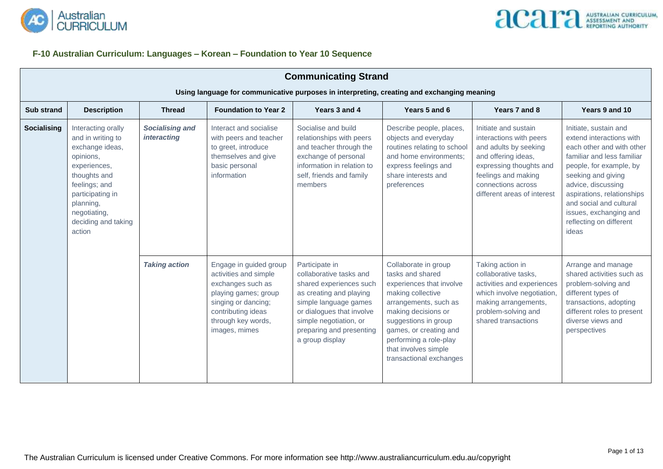

#### **F-10 Australian Curriculum: Languages – Korean – Foundation to Year 10 Sequence**

|                       | <b>Communicating Strand</b>                                                                                                                                                                      |                                              |                                                                                                                                                                                  |                                                                                                                                                                                                                                |                                                                                                                                                                                                                                                                          |                                                                                                                                                                                                        |                                                                                                                                                                                                                                                                                                            |  |  |  |
|-----------------------|--------------------------------------------------------------------------------------------------------------------------------------------------------------------------------------------------|----------------------------------------------|----------------------------------------------------------------------------------------------------------------------------------------------------------------------------------|--------------------------------------------------------------------------------------------------------------------------------------------------------------------------------------------------------------------------------|--------------------------------------------------------------------------------------------------------------------------------------------------------------------------------------------------------------------------------------------------------------------------|--------------------------------------------------------------------------------------------------------------------------------------------------------------------------------------------------------|------------------------------------------------------------------------------------------------------------------------------------------------------------------------------------------------------------------------------------------------------------------------------------------------------------|--|--|--|
|                       | Using language for communicative purposes in interpreting, creating and exchanging meaning                                                                                                       |                                              |                                                                                                                                                                                  |                                                                                                                                                                                                                                |                                                                                                                                                                                                                                                                          |                                                                                                                                                                                                        |                                                                                                                                                                                                                                                                                                            |  |  |  |
| <b>Sub strand</b>     | <b>Description</b>                                                                                                                                                                               | <b>Thread</b>                                | <b>Foundation to Year 2</b>                                                                                                                                                      | Years 3 and 4                                                                                                                                                                                                                  | Years 5 and 6                                                                                                                                                                                                                                                            | Years 7 and 8                                                                                                                                                                                          | Years 9 and 10                                                                                                                                                                                                                                                                                             |  |  |  |
| Socialising<br>action | Interacting orally<br>and in writing to<br>exchange ideas,<br>opinions,<br>experiences,<br>thoughts and<br>feelings; and<br>participating in<br>planning,<br>negotiating,<br>deciding and taking | <b>Socialising and</b><br><i>interacting</i> | Interact and socialise<br>with peers and teacher<br>to greet, introduce<br>themselves and give<br>basic personal<br>information                                                  | Socialise and build<br>relationships with peers<br>and teacher through the<br>exchange of personal<br>information in relation to<br>self, friends and family<br>members                                                        | Describe people, places,<br>objects and everyday<br>routines relating to school<br>and home environments;<br>express feelings and<br>share interests and<br>preferences                                                                                                  | Initiate and sustain<br>interactions with peers<br>and adults by seeking<br>and offering ideas,<br>expressing thoughts and<br>feelings and making<br>connections across<br>different areas of interest | Initiate, sustain and<br>extend interactions with<br>each other and with other<br>familiar and less familiar<br>people, for example, by<br>seeking and giving<br>advice, discussing<br>aspirations, relationships<br>and social and cultural<br>issues, exchanging and<br>reflecting on different<br>ideas |  |  |  |
|                       |                                                                                                                                                                                                  | <b>Taking action</b>                         | Engage in guided group<br>activities and simple<br>exchanges such as<br>playing games; group<br>singing or dancing;<br>contributing ideas<br>through key words,<br>images, mimes | Participate in<br>collaborative tasks and<br>shared experiences such<br>as creating and playing<br>simple language games<br>or dialogues that involve<br>simple negotiation, or<br>preparing and presenting<br>a group display | Collaborate in group<br>tasks and shared<br>experiences that involve<br>making collective<br>arrangements, such as<br>making decisions or<br>suggestions in group<br>games, or creating and<br>performing a role-play<br>that involves simple<br>transactional exchanges | Taking action in<br>collaborative tasks,<br>activities and experiences<br>which involve negotiation,<br>making arrangements,<br>problem-solving and<br>shared transactions                             | Arrange and manage<br>shared activities such as<br>problem-solving and<br>different types of<br>transactions, adopting<br>different roles to present<br>diverse views and<br>perspectives                                                                                                                  |  |  |  |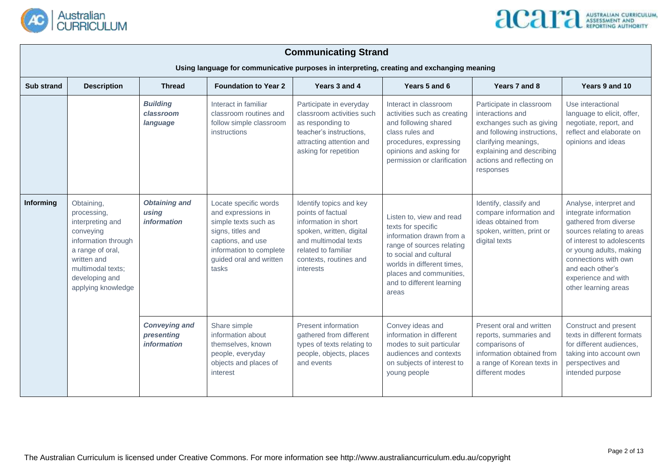



|                   | <b>Communicating Strand</b><br>Using language for communicative purposes in interpreting, creating and exchanging meaning                                                                                                                                                                                                                                                                                                                                                                                                                                                                               |                                                                                                                                       |                                                                                                                                                                                        |                                                                                                                                                                                                                                  |                                                                                                                                                                                     |                                                                                                                                                                                                                                                           |                                                                                                                             |  |  |  |
|-------------------|---------------------------------------------------------------------------------------------------------------------------------------------------------------------------------------------------------------------------------------------------------------------------------------------------------------------------------------------------------------------------------------------------------------------------------------------------------------------------------------------------------------------------------------------------------------------------------------------------------|---------------------------------------------------------------------------------------------------------------------------------------|----------------------------------------------------------------------------------------------------------------------------------------------------------------------------------------|----------------------------------------------------------------------------------------------------------------------------------------------------------------------------------------------------------------------------------|-------------------------------------------------------------------------------------------------------------------------------------------------------------------------------------|-----------------------------------------------------------------------------------------------------------------------------------------------------------------------------------------------------------------------------------------------------------|-----------------------------------------------------------------------------------------------------------------------------|--|--|--|
| <b>Sub strand</b> | <b>Description</b>                                                                                                                                                                                                                                                                                                                                                                                                                                                                                                                                                                                      | <b>Foundation to Year 2</b><br>Years 3 and 4<br>Years 5 and 6<br><b>Thread</b><br>Years 7 and 8<br>Years 9 and 10                     |                                                                                                                                                                                        |                                                                                                                                                                                                                                  |                                                                                                                                                                                     |                                                                                                                                                                                                                                                           |                                                                                                                             |  |  |  |
|                   |                                                                                                                                                                                                                                                                                                                                                                                                                                                                                                                                                                                                         | <b>Building</b><br>Interact in familiar<br>classroom<br>classroom routines and<br>follow simple classroom<br>language<br>instructions |                                                                                                                                                                                        | Participate in everyday<br>classroom activities such<br>as responding to<br>teacher's instructions,<br>attracting attention and<br>asking for repetition                                                                         | Interact in classroom<br>activities such as creating<br>and following shared<br>class rules and<br>procedures, expressing<br>opinions and asking for<br>permission or clarification | Participate in classroom<br>interactions and<br>exchanges such as giving<br>and following instructions,<br>clarifying meanings,<br>explaining and describing<br>actions and reflecting on<br>responses                                                    | Use interactional<br>language to elicit, offer,<br>negotiate, report, and<br>reflect and elaborate on<br>opinions and ideas |  |  |  |
| Informing         | <b>Obtaining and</b><br>Locate specific words<br>Obtaining,<br>and expressions in<br>processing,<br>using<br><i>information</i><br>interpreting and<br>simple texts such as<br>conveying<br>signs, titles and<br>information through<br>captions, and use<br>a range of oral,<br>information to complete<br>written and<br>guided oral and written<br>multimodal texts;<br>tasks<br>developing and<br>applying knowledge<br><b>Conveying and</b><br>Share simple<br>presenting<br>information about<br><i>information</i><br>themselves, known<br>people, everyday<br>objects and places of<br>interest |                                                                                                                                       | Identify topics and key<br>points of factual<br>information in short<br>spoken, written, digital<br>and multimodal texts<br>related to familiar<br>contexts, routines and<br>interests | Listen to, view and read<br>texts for specific<br>information drawn from a<br>range of sources relating<br>to social and cultural<br>worlds in different times.<br>places and communities,<br>and to different learning<br>areas | Identify, classify and<br>compare information and<br>ideas obtained from<br>spoken, written, print or<br>digital texts                                                              | Analyse, interpret and<br>integrate information<br>gathered from diverse<br>sources relating to areas<br>of interest to adolescents<br>or young adults, making<br>connections with own<br>and each other's<br>experience and with<br>other learning areas |                                                                                                                             |  |  |  |
|                   |                                                                                                                                                                                                                                                                                                                                                                                                                                                                                                                                                                                                         |                                                                                                                                       | <b>Present information</b><br>gathered from different<br>types of texts relating to<br>people, objects, places<br>and events                                                           | Convey ideas and<br>information in different<br>modes to suit particular<br>audiences and contexts<br>on subjects of interest to<br>young people                                                                                 | Present oral and written<br>reports, summaries and<br>comparisons of<br>information obtained from<br>a range of Korean texts in<br>different modes                                  | Construct and present<br>texts in different formats<br>for different audiences,<br>taking into account own<br>perspectives and<br>intended purpose                                                                                                        |                                                                                                                             |  |  |  |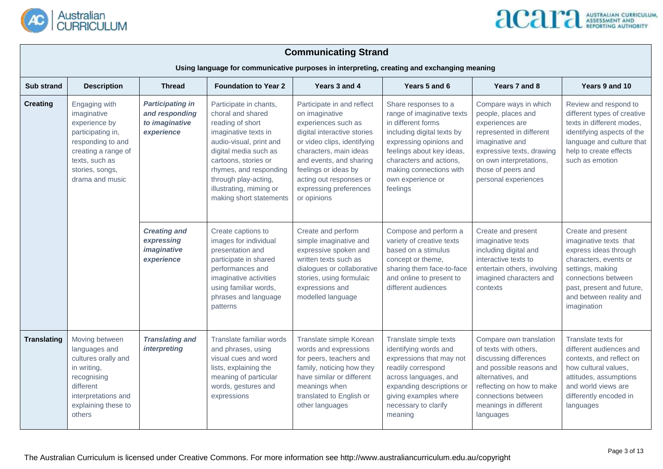

| <b>Communicating Strand</b><br>Using language for communicative purposes in interpreting, creating and exchanging meaning |                                                                                                                                                                                                                                                                                                                                                                                                                                                                                                                                                                                                                                                                                                                                                        |  |                                                                                                                                                                                                       |                                                                                                                                                                                                                                                                                    |                                                                                                                                                                                                                                                       |                                                                                                                                                                                                                     |                                                                                                                                                                                           |  |  |
|---------------------------------------------------------------------------------------------------------------------------|--------------------------------------------------------------------------------------------------------------------------------------------------------------------------------------------------------------------------------------------------------------------------------------------------------------------------------------------------------------------------------------------------------------------------------------------------------------------------------------------------------------------------------------------------------------------------------------------------------------------------------------------------------------------------------------------------------------------------------------------------------|--|-------------------------------------------------------------------------------------------------------------------------------------------------------------------------------------------------------|------------------------------------------------------------------------------------------------------------------------------------------------------------------------------------------------------------------------------------------------------------------------------------|-------------------------------------------------------------------------------------------------------------------------------------------------------------------------------------------------------------------------------------------------------|---------------------------------------------------------------------------------------------------------------------------------------------------------------------------------------------------------------------|-------------------------------------------------------------------------------------------------------------------------------------------------------------------------------------------|--|--|
| <b>Sub strand</b>                                                                                                         | <b>Foundation to Year 2</b><br>Years 9 and 10<br><b>Description</b><br>Years 3 and 4<br>Years 5 and 6<br>Years 7 and 8<br><b>Thread</b>                                                                                                                                                                                                                                                                                                                                                                                                                                                                                                                                                                                                                |  |                                                                                                                                                                                                       |                                                                                                                                                                                                                                                                                    |                                                                                                                                                                                                                                                       |                                                                                                                                                                                                                     |                                                                                                                                                                                           |  |  |
| <b>Creating</b>                                                                                                           | Engaging with<br><b>Participating in</b><br>Participate in chants,<br>and responding<br>choral and shared<br>imaginative<br>to imaginative<br>reading of short<br>experience by<br>experience<br>imaginative texts in<br>participating in,<br>responding to and<br>audio-visual, print and<br>creating a range of<br>digital media such as<br>texts, such as<br>cartoons, stories or<br>stories, songs,<br>drama and music<br>through play-acting,<br>illustrating, miming or<br><b>Creating and</b><br>Create captions to<br>images for individual<br>expressing<br>imaginative<br>presentation and<br>experience<br>participate in shared<br>performances and<br>imaginative activities<br>using familiar words,<br>phrases and language<br>patterns |  | rhymes, and responding<br>making short statements                                                                                                                                                     | Participate in and reflect<br>on imaginative<br>experiences such as<br>digital interactive stories<br>or video clips, identifying<br>characters, main ideas<br>and events, and sharing<br>feelings or ideas by<br>acting out responses or<br>expressing preferences<br>or opinions | Share responses to a<br>range of imaginative texts<br>in different forms<br>including digital texts by<br>expressing opinions and<br>feelings about key ideas,<br>characters and actions,<br>making connections with<br>own experience or<br>feelings | Compare ways in which<br>people, places and<br>experiences are<br>represented in different<br>imaginative and<br>expressive texts, drawing<br>on own interpretations,<br>those of peers and<br>personal experiences | Review and respond to<br>different types of creative<br>texts in different modes,<br>identifying aspects of the<br>language and culture that<br>help to create effects<br>such as emotion |  |  |
|                                                                                                                           |                                                                                                                                                                                                                                                                                                                                                                                                                                                                                                                                                                                                                                                                                                                                                        |  | Create and perform<br>simple imaginative and<br>expressive spoken and<br>written texts such as<br>dialogues or collaborative<br>stories, using formulaic<br>expressions and<br>modelled language      | Compose and perform a<br>variety of creative texts<br>based on a stimulus<br>concept or theme,<br>sharing them face-to-face<br>and online to present to<br>different audiences                                                                                                     | Create and present<br>imaginative texts<br>including digital and<br>interactive texts to<br>entertain others, involving<br>imagined characters and<br>contexts                                                                                        | Create and present<br>imaginative texts that<br>express ideas through<br>characters, events or<br>settings, making<br>connections between<br>past, present and future,<br>and between reality and<br>imagination    |                                                                                                                                                                                           |  |  |
| <b>Translating</b>                                                                                                        | Moving between<br><b>Translating and</b><br>Translate familiar words<br>languages and<br><i>interpreting</i><br>and phrases, using<br>cultures orally and<br>visual cues and word<br>lists, explaining the<br>in writing,<br>meaning of particular<br>recognising<br>different<br>words, gestures and<br>interpretations and<br>expressions<br>explaining these to<br>others                                                                                                                                                                                                                                                                                                                                                                           |  | Translate simple Korean<br>words and expressions<br>for peers, teachers and<br>family, noticing how they<br>have similar or different<br>meanings when<br>translated to English or<br>other languages | Translate simple texts<br>identifying words and<br>expressions that may not<br>readily correspond<br>across languages, and<br>expanding descriptions or<br>giving examples where<br>necessary to clarify<br>meaning                                                                | Compare own translation<br>of texts with others,<br>discussing differences<br>and possible reasons and<br>alternatives, and<br>reflecting on how to make<br>connections between<br>meanings in different<br>languages                                 | Translate texts for<br>different audiences and<br>contexts, and reflect on<br>how cultural values,<br>attitudes, assumptions<br>and world views are<br>differently encoded in<br>languages                          |                                                                                                                                                                                           |  |  |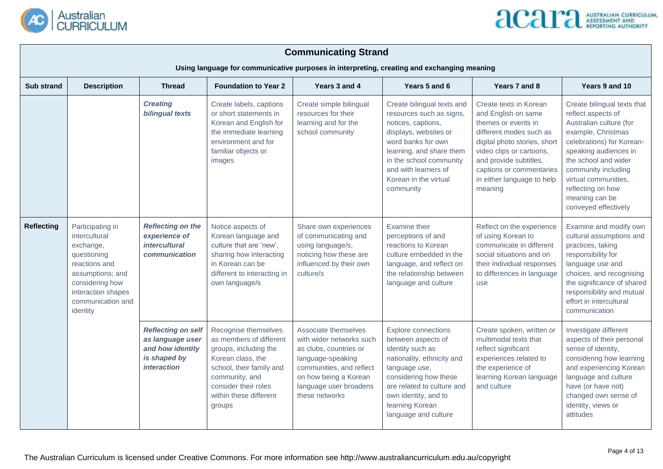

| <b>Communicating Strand</b><br>Using language for communicative purposes in interpreting, creating and exchanging meaning |                                                                                                                                                                                                                                                                                      |                                                                                                         |                                                                                                                                                                                                         |                                                                                                                                                                                                  |                                                                                                                                                                                                                                                  |                                                                                                                                                                                                                                                            |                                                                                                                                                                                                                                                                                                |  |  |
|---------------------------------------------------------------------------------------------------------------------------|--------------------------------------------------------------------------------------------------------------------------------------------------------------------------------------------------------------------------------------------------------------------------------------|---------------------------------------------------------------------------------------------------------|---------------------------------------------------------------------------------------------------------------------------------------------------------------------------------------------------------|--------------------------------------------------------------------------------------------------------------------------------------------------------------------------------------------------|--------------------------------------------------------------------------------------------------------------------------------------------------------------------------------------------------------------------------------------------------|------------------------------------------------------------------------------------------------------------------------------------------------------------------------------------------------------------------------------------------------------------|------------------------------------------------------------------------------------------------------------------------------------------------------------------------------------------------------------------------------------------------------------------------------------------------|--|--|
| Sub strand                                                                                                                | Years 9 and 10<br><b>Description</b><br><b>Foundation to Year 2</b><br>Years 3 and 4<br>Years 5 and 6<br>Years 7 and 8<br><b>Thread</b>                                                                                                                                              |                                                                                                         |                                                                                                                                                                                                         |                                                                                                                                                                                                  |                                                                                                                                                                                                                                                  |                                                                                                                                                                                                                                                            |                                                                                                                                                                                                                                                                                                |  |  |
|                                                                                                                           |                                                                                                                                                                                                                                                                                      | <b>Creating</b><br><b>bilingual texts</b>                                                               | Create labels, captions<br>or short statements in<br>Korean and English for<br>the immediate learning<br>environment and for<br>familiar objects or<br>images                                           | Create simple bilingual<br>resources for their<br>learning and for the<br>school community                                                                                                       | Create bilingual texts and<br>resources such as signs,<br>notices, captions,<br>displays, websites or<br>word banks for own<br>learning, and share them<br>in the school community<br>and with learners of<br>Korean in the virtual<br>community | Create texts in Korean<br>and English on same<br>themes or events in<br>different modes such as<br>digital photo stories, short<br>video clips or cartoons,<br>and provide subtitles,<br>captions or commentaries<br>in either language to help<br>meaning | Create bilingual texts that<br>reflect aspects of<br>Australian culture (for<br>example, Christmas<br>celebrations) for Korean-<br>speaking audiences in<br>the school and wider<br>community including<br>virtual communities,<br>reflecting on how<br>meaning can be<br>conveyed effectively |  |  |
| <b>Reflecting</b>                                                                                                         | <b>Reflecting on the</b><br>Participating in<br>intercultural<br>experience of<br><i>intercultural</i><br>exchange,<br>questioning<br>communication<br>reactions and<br>assumptions; and<br>considering how<br>own language/s<br>interaction shapes<br>communication and<br>identity |                                                                                                         | Notice aspects of<br>Korean language and<br>culture that are 'new',<br>sharing how interacting<br>in Korean can be<br>different to interacting in                                                       | Share own experiences<br>of communicating and<br>using language/s,<br>noticing how these are<br>influenced by their own<br>culture/s                                                             | Examine their<br>perceptions of and<br>reactions to Korean<br>culture embedded in the<br>language, and reflect on<br>the relationship between<br>language and culture                                                                            | Reflect on the experience<br>of using Korean to<br>communicate in different<br>social situations and on<br>their individual responses<br>to differences in language<br>use                                                                                 | Examine and modify own<br>cultural assumptions and<br>practices, taking<br>responsibility for<br>language use and<br>choices, and recognising<br>the significance of shared<br>responsibility and mutual<br>effort in intercultural<br>communication                                           |  |  |
|                                                                                                                           |                                                                                                                                                                                                                                                                                      | <b>Reflecting on self</b><br>as language user<br>and how identity<br>is shaped by<br><i>interaction</i> | Recognise themselves<br>as members of different<br>groups, including the<br>Korean class, the<br>school, their family and<br>community, and<br>consider their roles<br>within these different<br>groups | Associate themselves<br>with wider networks such<br>as clubs, countries or<br>language-speaking<br>communities, and reflect<br>on how being a Korean<br>language user broadens<br>these networks | Explore connections<br>between aspects of<br>identity such as<br>nationality, ethnicity and<br>language use,<br>considering how these<br>are related to culture and<br>own identity, and to<br>learning Korean<br>language and culture           | Create spoken, written or<br>multimodal texts that<br>reflect significant<br>experiences related to<br>the experience of<br>learning Korean language<br>and culture                                                                                        | Investigate different<br>aspects of their personal<br>sense of identity,<br>considering how learning<br>and experiencing Korean<br>language and culture<br>have (or have not)<br>changed own sense of<br>identity, views or<br>attitudes                                                       |  |  |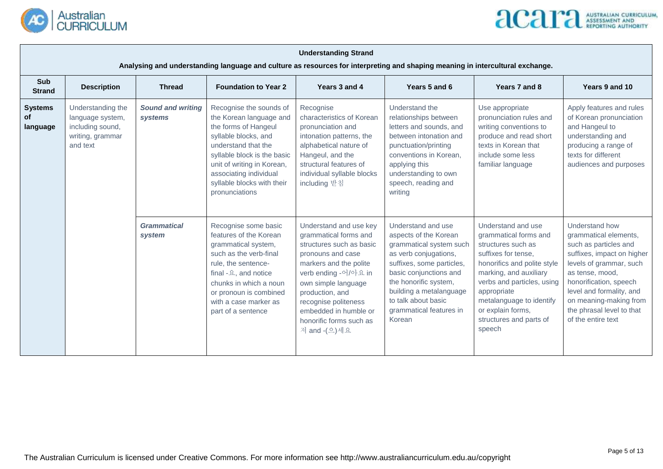



|                                         | <b>Understanding Strand</b>                                                                                                                    |                                     |                                                                                                                                                                                                                                                                                                                                                                                                                                                                                   |                                                                                                                                                                                                                                                                                          |                                                                                                                                                                                                                                                                        |                                                                                                                                                                                                                                                                                      |                                                                                                                                                                                                                                                                                 |  |  |  |
|-----------------------------------------|------------------------------------------------------------------------------------------------------------------------------------------------|-------------------------------------|-----------------------------------------------------------------------------------------------------------------------------------------------------------------------------------------------------------------------------------------------------------------------------------------------------------------------------------------------------------------------------------------------------------------------------------------------------------------------------------|------------------------------------------------------------------------------------------------------------------------------------------------------------------------------------------------------------------------------------------------------------------------------------------|------------------------------------------------------------------------------------------------------------------------------------------------------------------------------------------------------------------------------------------------------------------------|--------------------------------------------------------------------------------------------------------------------------------------------------------------------------------------------------------------------------------------------------------------------------------------|---------------------------------------------------------------------------------------------------------------------------------------------------------------------------------------------------------------------------------------------------------------------------------|--|--|--|
| Sub                                     | Analysing and understanding language and culture as resources for interpreting and shaping meaning in intercultural exchange.<br>Years 3 and 4 |                                     |                                                                                                                                                                                                                                                                                                                                                                                                                                                                                   |                                                                                                                                                                                                                                                                                          |                                                                                                                                                                                                                                                                        |                                                                                                                                                                                                                                                                                      |                                                                                                                                                                                                                                                                                 |  |  |  |
| <b>Strand</b>                           | <b>Description</b>                                                                                                                             | <b>Thread</b>                       | <b>Foundation to Year 2</b>                                                                                                                                                                                                                                                                                                                                                                                                                                                       |                                                                                                                                                                                                                                                                                          | Years 5 and 6                                                                                                                                                                                                                                                          | Years 7 and 8                                                                                                                                                                                                                                                                        | Years 9 and 10                                                                                                                                                                                                                                                                  |  |  |  |
| <b>Systems</b><br><b>of</b><br>language | Understanding the<br>language system,<br>including sound,<br>writing, grammar<br>and text                                                      | <b>Sound and writing</b><br>systems | Recognise the sounds of<br>Recognise<br>characteristics of Korean<br>the Korean language and<br>the forms of Hangeul<br>pronunciation and<br>syllable blocks, and<br>intonation patterns, the<br>understand that the<br>alphabetical nature of<br>syllable block is the basic<br>Hangeul, and the<br>unit of writing in Korean,<br>structural features of<br>associating individual<br>individual syllable blocks<br>syllable blocks with their<br>including 받침<br>pronunciations |                                                                                                                                                                                                                                                                                          | Understand the<br>relationships between<br>letters and sounds, and<br>between intonation and<br>punctuation/printing<br>conventions in Korean,<br>applying this<br>understanding to own<br>speech, reading and<br>writing                                              | Use appropriate<br>pronunciation rules and<br>writing conventions to<br>produce and read short<br>texts in Korean that<br>include some less<br>familiar language                                                                                                                     | Apply features and rules<br>of Korean pronunciation<br>and Hangeul to<br>understanding and<br>producing a range of<br>texts for different<br>audiences and purposes                                                                                                             |  |  |  |
|                                         |                                                                                                                                                | <b>Grammatical</b><br>system        | Recognise some basic<br>features of the Korean<br>grammatical system,<br>such as the verb-final<br>rule, the sentence-<br>final $-\Omega$ , and notice<br>chunks in which a noun<br>or pronoun is combined<br>with a case marker as<br>part of a sentence                                                                                                                                                                                                                         | Understand and use key<br>grammatical forms and<br>structures such as basic<br>pronouns and case<br>markers and the polite<br>verb ending -어/아요 in<br>own simple language<br>production, and<br>recognise politeness<br>embedded in humble or<br>honorific forms such as<br>저 and -(으)세요 | Understand and use<br>aspects of the Korean<br>grammatical system such<br>as verb conjugations,<br>suffixes, some particles,<br>basic conjunctions and<br>the honorific system,<br>building a metalanguage<br>to talk about basic<br>grammatical features in<br>Korean | Understand and use<br>grammatical forms and<br>structures such as<br>suffixes for tense,<br>honorifics and polite style<br>marking, and auxiliary<br>verbs and particles, using<br>appropriate<br>metalanguage to identify<br>or explain forms,<br>structures and parts of<br>speech | Understand how<br>grammatical elements,<br>such as particles and<br>suffixes, impact on higher<br>levels of grammar, such<br>as tense, mood,<br>honorification, speech<br>level and formality, and<br>on meaning-making from<br>the phrasal level to that<br>of the entire text |  |  |  |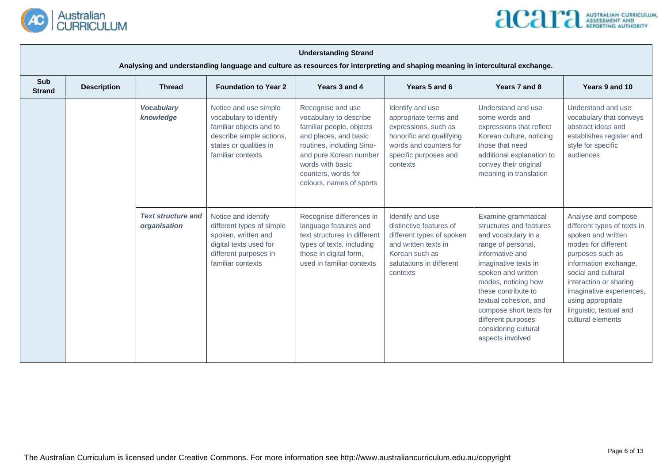



|                             | <b>Understanding Strand</b>                                                                                                                                                                                                                                              |                                                                                                                                                 |                                                                                                                                                                       |                                                                                                                                                                                                                                |                                                                                                                                                                                                                                                                                                                                  |                                                                                                                                                                                                                                                                                                |                                                                                                                                    |  |  |  |
|-----------------------------|--------------------------------------------------------------------------------------------------------------------------------------------------------------------------------------------------------------------------------------------------------------------------|-------------------------------------------------------------------------------------------------------------------------------------------------|-----------------------------------------------------------------------------------------------------------------------------------------------------------------------|--------------------------------------------------------------------------------------------------------------------------------------------------------------------------------------------------------------------------------|----------------------------------------------------------------------------------------------------------------------------------------------------------------------------------------------------------------------------------------------------------------------------------------------------------------------------------|------------------------------------------------------------------------------------------------------------------------------------------------------------------------------------------------------------------------------------------------------------------------------------------------|------------------------------------------------------------------------------------------------------------------------------------|--|--|--|
| <b>Sub</b><br><b>Strand</b> | Analysing and understanding language and culture as resources for interpreting and shaping meaning in intercultural exchange.<br>Years 3 and 4<br>Years 5 and 6<br>Years 7 and 8<br>Years 9 and 10<br><b>Description</b><br><b>Thread</b><br><b>Foundation to Year 2</b> |                                                                                                                                                 |                                                                                                                                                                       |                                                                                                                                                                                                                                |                                                                                                                                                                                                                                                                                                                                  |                                                                                                                                                                                                                                                                                                |                                                                                                                                    |  |  |  |
|                             |                                                                                                                                                                                                                                                                          | <b>Vocabulary</b><br>knowledge                                                                                                                  | Notice and use simple<br>vocabulary to identify<br>familiar objects and to<br>describe simple actions,<br>states or qualities in<br>familiar contexts                 | Recognise and use<br>vocabulary to describe<br>familiar people, objects<br>and places, and basic<br>routines, including Sino-<br>and pure Korean number<br>words with basic<br>counters, words for<br>colours, names of sports | Identify and use<br>appropriate terms and<br>expressions, such as<br>honorific and qualifying<br>words and counters for<br>specific purposes and<br>contexts                                                                                                                                                                     | Understand and use<br>some words and<br>expressions that reflect<br>Korean culture, noticing<br>those that need<br>additional explanation to<br>convey their original<br>meaning in translation                                                                                                | Understand and use<br>vocabulary that conveys<br>abstract ideas and<br>establishes register and<br>style for specific<br>audiences |  |  |  |
|                             | <b>Text structure and</b><br>organisation                                                                                                                                                                                                                                | Notice and identify<br>different types of simple<br>spoken, written and<br>digital texts used for<br>different purposes in<br>familiar contexts | Recognise differences in<br>language features and<br>text structures in different<br>types of texts, including<br>those in digital form,<br>used in familiar contexts | Identify and use<br>distinctive features of<br>different types of spoken<br>and written texts in<br>Korean such as<br>salutations in different<br>contexts                                                                     | Examine grammatical<br>structures and features<br>and vocabulary in a<br>range of personal,<br>informative and<br>imaginative texts in<br>spoken and written<br>modes, noticing how<br>these contribute to<br>textual cohesion, and<br>compose short texts for<br>different purposes<br>considering cultural<br>aspects involved | Analyse and compose<br>different types of texts in<br>spoken and written<br>modes for different<br>purposes such as<br>information exchange,<br>social and cultural<br>interaction or sharing<br>imaginative experiences,<br>using appropriate<br>linguistic, textual and<br>cultural elements |                                                                                                                                    |  |  |  |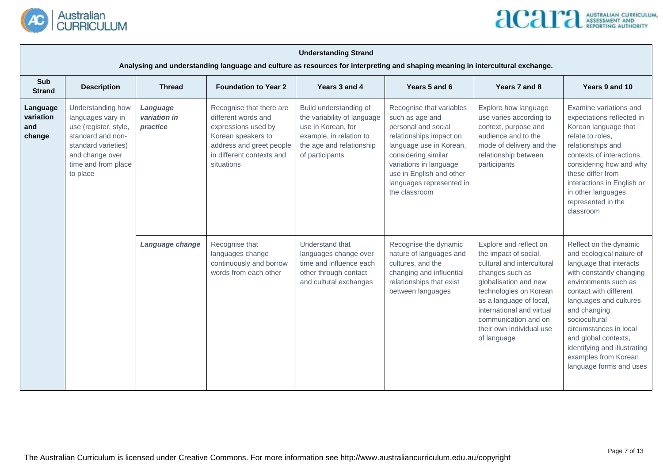



|                                        | <b>Understanding Strand</b><br>Analysing and understanding language and culture as resources for interpreting and shaping meaning in intercultural exchange.                                              |                 |                                                                                                                                                                     |                                                                                                                                                       |                                                                                                                                                                                                                                                    |                                                                                                                                                                                                                                                                                |                                                                                                                                                                                                                                                                                                                                                             |  |  |  |
|----------------------------------------|-----------------------------------------------------------------------------------------------------------------------------------------------------------------------------------------------------------|-----------------|---------------------------------------------------------------------------------------------------------------------------------------------------------------------|-------------------------------------------------------------------------------------------------------------------------------------------------------|----------------------------------------------------------------------------------------------------------------------------------------------------------------------------------------------------------------------------------------------------|--------------------------------------------------------------------------------------------------------------------------------------------------------------------------------------------------------------------------------------------------------------------------------|-------------------------------------------------------------------------------------------------------------------------------------------------------------------------------------------------------------------------------------------------------------------------------------------------------------------------------------------------------------|--|--|--|
| Sub<br><b>Strand</b>                   | <b>Description</b><br><b>Thread</b>                                                                                                                                                                       |                 | <b>Foundation to Year 2</b>                                                                                                                                         | Years 3 and 4                                                                                                                                         | Years 5 and 6                                                                                                                                                                                                                                      | Years 7 and 8                                                                                                                                                                                                                                                                  | Years 9 and 10                                                                                                                                                                                                                                                                                                                                              |  |  |  |
| Language<br>variation<br>and<br>change | Understanding how<br>Language<br>variation in<br>languages vary in<br>use (register, style,<br>practice<br>standard and non-<br>standard varieties)<br>and change over<br>time and from place<br>to place |                 | Recognise that there are<br>different words and<br>expressions used by<br>Korean speakers to<br>address and greet people<br>in different contexts and<br>situations | Build understanding of<br>the variability of language<br>use in Korean, for<br>example, in relation to<br>the age and relationship<br>of participants | Recognise that variables<br>such as age and<br>personal and social<br>relationships impact on<br>language use in Korean,<br>considering similar<br>variations in language<br>use in English and other<br>languages represented in<br>the classroom | Explore how language<br>use varies according to<br>context, purpose and<br>audience and to the<br>mode of delivery and the<br>relationship between<br>participants                                                                                                             | Examine variations and<br>expectations reflected in<br>Korean language that<br>relate to roles,<br>relationships and<br>contexts of interactions,<br>considering how and why<br>these differ from<br>interactions in English or<br>in other languages<br>represented in the<br>classroom                                                                    |  |  |  |
|                                        |                                                                                                                                                                                                           | Language change | Recognise that<br>languages change<br>continuously and borrow<br>words from each other                                                                              | Understand that<br>languages change over<br>time and influence each<br>other through contact<br>and cultural exchanges                                | Recognise the dynamic<br>nature of languages and<br>cultures, and the<br>changing and influential<br>relationships that exist<br>between languages                                                                                                 | Explore and reflect on<br>the impact of social,<br>cultural and intercultural<br>changes such as<br>globalisation and new<br>technologies on Korean<br>as a language of local,<br>international and virtual<br>communication and on<br>their own individual use<br>of language | Reflect on the dynamic<br>and ecological nature of<br>language that interacts<br>with constantly changing<br>environments such as<br>contact with different<br>languages and cultures<br>and changing<br>sociocultural<br>circumstances in local<br>and global contexts,<br>identifying and illustrating<br>examples from Korean<br>language forms and uses |  |  |  |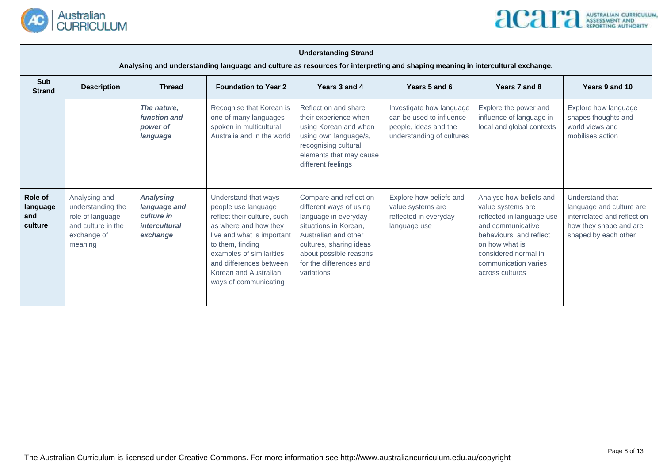



|                                       | <b>Understanding Strand</b><br>Analysing and understanding language and culture as resources for interpreting and shaping meaning in intercultural exchange. |                                                                                                                                                                                                                                                                                                                                                      |                                                                                                            |                                                                                                                                                                                                                          |                                                                                                            |                                                                                                                                                                                                                |                                                                                                                              |  |  |  |
|---------------------------------------|--------------------------------------------------------------------------------------------------------------------------------------------------------------|------------------------------------------------------------------------------------------------------------------------------------------------------------------------------------------------------------------------------------------------------------------------------------------------------------------------------------------------------|------------------------------------------------------------------------------------------------------------|--------------------------------------------------------------------------------------------------------------------------------------------------------------------------------------------------------------------------|------------------------------------------------------------------------------------------------------------|----------------------------------------------------------------------------------------------------------------------------------------------------------------------------------------------------------------|------------------------------------------------------------------------------------------------------------------------------|--|--|--|
| <b>Sub</b><br><b>Strand</b>           | <b>Description</b>                                                                                                                                           | <b>Thread</b>                                                                                                                                                                                                                                                                                                                                        | <b>Foundation to Year 2</b>                                                                                | Years 3 and 4                                                                                                                                                                                                            | Years 5 and 6                                                                                              | Years 7 and 8                                                                                                                                                                                                  | Years 9 and 10                                                                                                               |  |  |  |
|                                       |                                                                                                                                                              | The nature,<br>function and<br>power of<br>language                                                                                                                                                                                                                                                                                                  | Recognise that Korean is<br>one of many languages<br>spoken in multicultural<br>Australia and in the world | Reflect on and share<br>their experience when<br>using Korean and when<br>using own language/s,<br>recognising cultural<br>elements that may cause<br>different feelings                                                 | Investigate how language<br>can be used to influence<br>people, ideas and the<br>understanding of cultures | Explore the power and<br>influence of language in<br>local and global contexts                                                                                                                                 | Explore how language<br>shapes thoughts and<br>world views and<br>mobilises action                                           |  |  |  |
| Role of<br>language<br>and<br>culture | Analysing and<br>understanding the<br>role of language<br>and culture in the<br>exchange of<br>meaning                                                       | <b>Analysing</b><br>Understand that ways<br>language and<br>people use language<br>culture in<br>reflect their culture, such<br><i>intercultural</i><br>as where and how they<br>exchange<br>live and what is important<br>to them, finding<br>examples of similarities<br>and differences between<br>Korean and Australian<br>ways of communicating |                                                                                                            | Compare and reflect on<br>different ways of using<br>language in everyday<br>situations in Korean,<br>Australian and other<br>cultures, sharing ideas<br>about possible reasons<br>for the differences and<br>variations | Explore how beliefs and<br>value systems are<br>reflected in everyday<br>language use                      | Analyse how beliefs and<br>value systems are<br>reflected in language use<br>and communicative<br>behaviours, and reflect<br>on how what is<br>considered normal in<br>communication varies<br>across cultures | Understand that<br>language and culture are<br>interrelated and reflect on<br>how they shape and are<br>shaped by each other |  |  |  |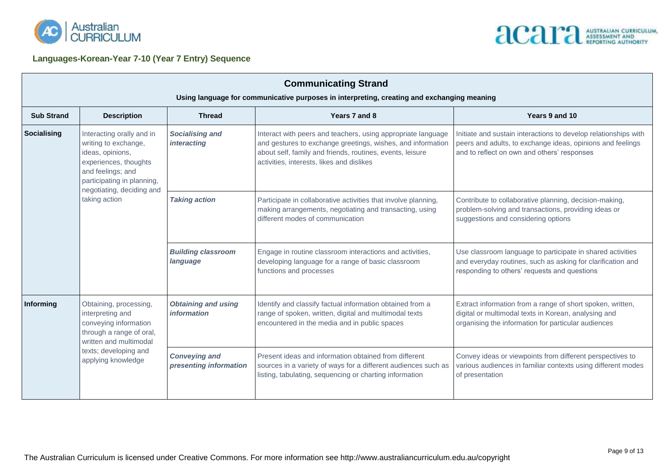

**Languages-Korean-Year 7-10 (Year 7 Entry) Sequence**



| <b>Communicating Strand</b><br>Using language for communicative purposes in interpreting, creating and exchanging meaning |                                                                                                                                                                                                 |                                                |                                                                                                                                                                                                                                       |                                                                                                                                                                              |  |  |  |  |
|---------------------------------------------------------------------------------------------------------------------------|-------------------------------------------------------------------------------------------------------------------------------------------------------------------------------------------------|------------------------------------------------|---------------------------------------------------------------------------------------------------------------------------------------------------------------------------------------------------------------------------------------|------------------------------------------------------------------------------------------------------------------------------------------------------------------------------|--|--|--|--|
| <b>Sub Strand</b>                                                                                                         | <b>Description</b>                                                                                                                                                                              | <b>Thread</b>                                  | Years 7 and 8                                                                                                                                                                                                                         | Years 9 and 10                                                                                                                                                               |  |  |  |  |
| Socialising                                                                                                               | Interacting orally and in<br>writing to exchange,<br>ideas, opinions,<br>experiences, thoughts<br>and feelings; and<br>participating in planning,<br>negotiating, deciding and<br>taking action | <b>Socialising and</b><br><i>interacting</i>   | Interact with peers and teachers, using appropriate language<br>and gestures to exchange greetings, wishes, and information<br>about self, family and friends, routines, events, leisure<br>activities, interests, likes and dislikes | Initiate and sustain interactions to develop relationships with<br>peers and adults, to exchange ideas, opinions and feelings<br>and to reflect on own and others' responses |  |  |  |  |
|                                                                                                                           |                                                                                                                                                                                                 | <b>Taking action</b>                           | Participate in collaborative activities that involve planning,<br>making arrangements, negotiating and transacting, using<br>different modes of communication                                                                         | Contribute to collaborative planning, decision-making,<br>problem-solving and transactions, providing ideas or<br>suggestions and considering options                        |  |  |  |  |
|                                                                                                                           |                                                                                                                                                                                                 | <b>Building classroom</b><br>language          | Engage in routine classroom interactions and activities,<br>developing language for a range of basic classroom<br>functions and processes                                                                                             | Use classroom language to participate in shared activities<br>and everyday routines, such as asking for clarification and<br>responding to others' requests and questions    |  |  |  |  |
| Informing                                                                                                                 | Obtaining, processing,<br>interpreting and<br>conveying information<br>through a range of oral,<br>written and multimodal                                                                       | <b>Obtaining and using</b><br>information      | Identify and classify factual information obtained from a<br>range of spoken, written, digital and multimodal texts<br>encountered in the media and in public spaces                                                                  | Extract information from a range of short spoken, written,<br>digital or multimodal texts in Korean, analysing and<br>organising the information for particular audiences    |  |  |  |  |
|                                                                                                                           | texts; developing and<br>applying knowledge                                                                                                                                                     | <b>Conveying and</b><br>presenting information | Present ideas and information obtained from different<br>sources in a variety of ways for a different audiences such as<br>listing, tabulating, sequencing or charting information                                                    | Convey ideas or viewpoints from different perspectives to<br>various audiences in familiar contexts using different modes<br>of presentation                                 |  |  |  |  |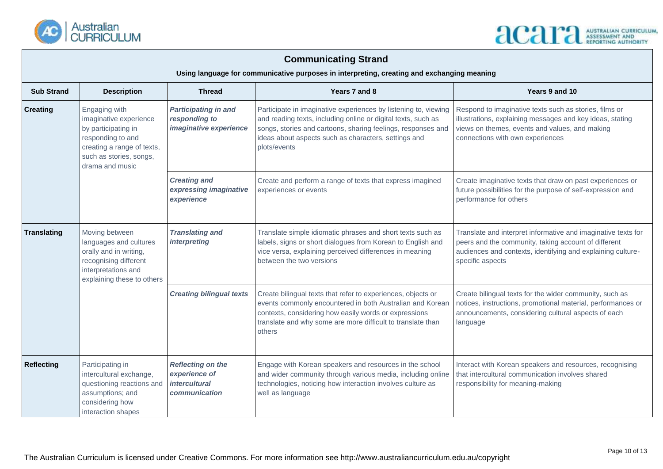

## **ACAPA ASSESSMENT AND**

### **Communicating Strand**

**Using language for communicative purposes in interpreting, creating and exchanging meaning**

| <b>Sub Strand</b>  | <b>Description</b>                                                                                                                                                                                                                        | <b>Thread</b>                                                                      | Years 7 and 8                                                                                                                                                                                                                                                            | Years 9 and 10                                                                                                                                                                                            |
|--------------------|-------------------------------------------------------------------------------------------------------------------------------------------------------------------------------------------------------------------------------------------|------------------------------------------------------------------------------------|--------------------------------------------------------------------------------------------------------------------------------------------------------------------------------------------------------------------------------------------------------------------------|-----------------------------------------------------------------------------------------------------------------------------------------------------------------------------------------------------------|
| <b>Creating</b>    | Engaging with<br><b>Participating in and</b><br>imaginative experience<br>responding to<br>by participating in<br>imaginative experience<br>responding to and<br>creating a range of texts,<br>such as stories, songs,<br>drama and music |                                                                                    | Participate in imaginative experiences by listening to, viewing<br>and reading texts, including online or digital texts, such as<br>songs, stories and cartoons, sharing feelings, responses and<br>ideas about aspects such as characters, settings and<br>plots/events | Respond to imaginative texts such as stories, films or<br>illustrations, explaining messages and key ideas, stating<br>views on themes, events and values, and making<br>connections with own experiences |
|                    |                                                                                                                                                                                                                                           | <b>Creating and</b><br>expressing imaginative<br>experience                        | Create and perform a range of texts that express imagined<br>experiences or events                                                                                                                                                                                       | Create imaginative texts that draw on past experiences or<br>future possibilities for the purpose of self-expression and<br>performance for others                                                        |
| <b>Translating</b> | Moving between<br>languages and cultures<br>orally and in writing,<br>recognising different<br>interpretations and<br>explaining these to others                                                                                          | <b>Translating and</b><br><i>interpreting</i>                                      | Translate simple idiomatic phrases and short texts such as<br>labels, signs or short dialogues from Korean to English and<br>vice versa, explaining perceived differences in meaning<br>between the two versions                                                         | Translate and interpret informative and imaginative texts for<br>peers and the community, taking account of different<br>audiences and contexts, identifying and explaining culture-<br>specific aspects  |
|                    |                                                                                                                                                                                                                                           | <b>Creating bilingual texts</b>                                                    | Create bilingual texts that refer to experiences, objects or<br>events commonly encountered in both Australian and Korean<br>contexts, considering how easily words or expressions<br>translate and why some are more difficult to translate than<br>others              | Create bilingual texts for the wider community, such as<br>notices, instructions, promotional material, performances or<br>announcements, considering cultural aspects of each<br>language                |
| <b>Reflecting</b>  | Participating in<br>intercultural exchange,<br>questioning reactions and<br>assumptions; and<br>considering how<br>interaction shapes                                                                                                     | <b>Reflecting on the</b><br>experience of<br><i>intercultural</i><br>communication | Engage with Korean speakers and resources in the school<br>and wider community through various media, including online<br>technologies, noticing how interaction involves culture as<br>well as language                                                                 | Interact with Korean speakers and resources, recognising<br>that intercultural communication involves shared<br>responsibility for meaning-making                                                         |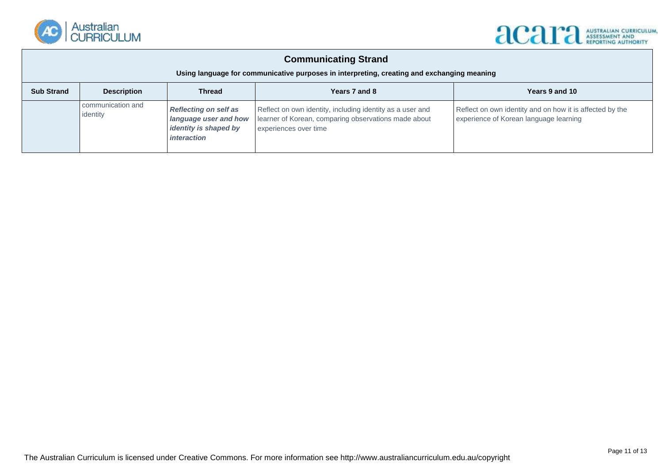

## **ACAPA ASSESSMENT AND**

#### **Communicating Strand**

#### **Using language for communicative purposes in interpreting, creating and exchanging meaning**

| <b>Sub Strand</b> | <b>Description</b>            | <b>Thread</b>                                                                                 | Years 7 and 8                                                                                                                              | Years 9 and 10                                                                                     |
|-------------------|-------------------------------|-----------------------------------------------------------------------------------------------|--------------------------------------------------------------------------------------------------------------------------------------------|----------------------------------------------------------------------------------------------------|
|                   | communication and<br>identity | <b>Reflecting on self as</b><br>language user and how<br>identity is shaped by<br>interaction | Reflect on own identity, including identity as a user and<br>learner of Korean, comparing observations made about<br>experiences over time | Reflect on own identity and on how it is affected by the<br>experience of Korean language learning |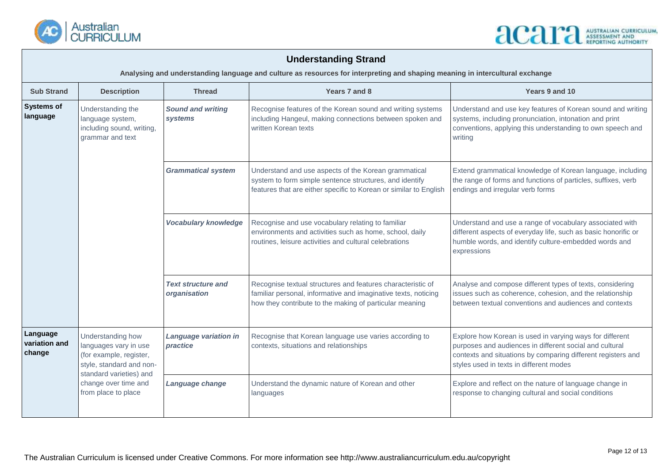

### **Understanding Strand**

**Analysing and understanding language and culture as resources for interpreting and shaping meaning in intercultural exchange**

| <b>Sub Strand</b>                   | <b>Description</b>                                                                                                                                                          | <b>Thread</b>                             | Years 7 and 8                                                                                                                                                                            | Years 9 and 10                                                                                                                                                                                                                 |
|-------------------------------------|-----------------------------------------------------------------------------------------------------------------------------------------------------------------------------|-------------------------------------------|------------------------------------------------------------------------------------------------------------------------------------------------------------------------------------------|--------------------------------------------------------------------------------------------------------------------------------------------------------------------------------------------------------------------------------|
| <b>Systems of</b><br>language       | Understanding the<br>language system,<br>including sound, writing,<br>grammar and text                                                                                      | <b>Sound and writing</b><br>systems       | Recognise features of the Korean sound and writing systems<br>including Hangeul, making connections between spoken and<br>written Korean texts                                           | Understand and use key features of Korean sound and writing<br>systems, including pronunciation, intonation and print<br>conventions, applying this understanding to own speech and<br>writing                                 |
|                                     |                                                                                                                                                                             | <b>Grammatical system</b>                 | Understand and use aspects of the Korean grammatical<br>system to form simple sentence structures, and identify<br>features that are either specific to Korean or similar to English     | Extend grammatical knowledge of Korean language, including<br>the range of forms and functions of particles, suffixes, verb<br>endings and irregular verb forms                                                                |
|                                     |                                                                                                                                                                             | <b>Vocabulary knowledge</b>               | Recognise and use vocabulary relating to familiar<br>environments and activities such as home, school, daily<br>routines, leisure activities and cultural celebrations                   | Understand and use a range of vocabulary associated with<br>different aspects of everyday life, such as basic honorific or<br>humble words, and identify culture-embedded words and<br>expressions                             |
|                                     |                                                                                                                                                                             | <b>Text structure and</b><br>organisation | Recognise textual structures and features characteristic of<br>familiar personal, informative and imaginative texts, noticing<br>how they contribute to the making of particular meaning | Analyse and compose different types of texts, considering<br>issues such as coherence, cohesion, and the relationship<br>between textual conventions and audiences and contexts                                                |
| Language<br>variation and<br>change | Understanding how<br>languages vary in use<br>(for example, register,<br>style, standard and non-<br>standard varieties) and<br>change over time and<br>from place to place | Language variation in<br>practice         | Recognise that Korean language use varies according to<br>contexts, situations and relationships                                                                                         | Explore how Korean is used in varying ways for different<br>purposes and audiences in different social and cultural<br>contexts and situations by comparing different registers and<br>styles used in texts in different modes |
|                                     |                                                                                                                                                                             | Language change                           | Understand the dynamic nature of Korean and other<br>languages                                                                                                                           | Explore and reflect on the nature of language change in<br>response to changing cultural and social conditions                                                                                                                 |